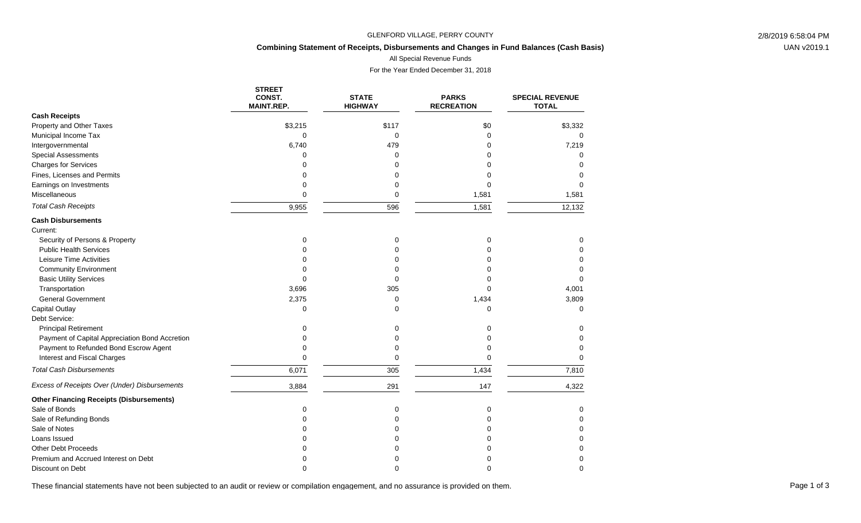### GLENFORD VILLAGE, PERRY COUNTY 2/8/2019 6:58:04 PM

## **Combining Statement of Receipts, Disbursements and Changes in Fund Balances (Cash Basis)**

All Special Revenue Funds

For the Year Ended December 31, 2018

|                                                 | <b>STREET</b><br>CONST.<br><b>MAINT.REP.</b> | <b>STATE</b><br><b>HIGHWAY</b> | <b>PARKS</b><br><b>RECREATION</b> | <b>SPECIAL REVENUE</b><br><b>TOTAL</b> |
|-------------------------------------------------|----------------------------------------------|--------------------------------|-----------------------------------|----------------------------------------|
| <b>Cash Receipts</b>                            |                                              |                                |                                   |                                        |
| Property and Other Taxes                        | \$3,215                                      | \$117                          | \$0                               | \$3,332                                |
| Municipal Income Tax                            | 0                                            | $\mathbf 0$                    | $\Omega$                          | $\Omega$                               |
| Intergovernmental                               | 6,740                                        | 479                            |                                   | 7,219                                  |
| <b>Special Assessments</b>                      | U                                            | $\Omega$                       |                                   | $\Omega$                               |
| <b>Charges for Services</b>                     | ∩                                            | 0                              |                                   | $\Omega$                               |
| Fines, Licenses and Permits                     | ი                                            | 0                              |                                   | $\Omega$                               |
| Earnings on Investments                         | $\Omega$                                     | 0                              | $\Omega$                          | $\Omega$                               |
| Miscellaneous                                   | $\Omega$                                     | 0                              | 1,581                             | 1,581                                  |
| <b>Total Cash Receipts</b>                      | 9,955                                        | 596                            | 1,581                             | 12,132                                 |
| <b>Cash Disbursements</b>                       |                                              |                                |                                   |                                        |
| Current:                                        |                                              |                                |                                   |                                        |
| Security of Persons & Property                  | $\Omega$                                     | 0                              | 0                                 | 0                                      |
| <b>Public Health Services</b>                   | U                                            | $\Omega$                       | $\Omega$                          | $\Omega$                               |
| Leisure Time Activities                         | ∩                                            | $\Omega$                       | n                                 | 0                                      |
| <b>Community Environment</b>                    | U                                            | 0                              |                                   | <sup>0</sup>                           |
| <b>Basic Utility Services</b>                   | U                                            | $\mathbf 0$                    |                                   | $\Omega$                               |
| Transportation                                  | 3,696                                        | 305                            | 0                                 | 4,001                                  |
| <b>General Government</b>                       | 2,375                                        | 0                              | 1,434                             | 3,809                                  |
| Capital Outlay                                  | $\Omega$                                     | $\Omega$                       | $\Omega$                          | $\Omega$                               |
| Debt Service:                                   |                                              |                                |                                   |                                        |
| <b>Principal Retirement</b>                     | U                                            | 0                              | $\Omega$                          | 0                                      |
| Payment of Capital Appreciation Bond Accretion  |                                              | $\Omega$                       |                                   | $\Omega$                               |
| Payment to Refunded Bond Escrow Agent           | ∩                                            | $\Omega$                       | $\Omega$                          | $\Omega$                               |
| Interest and Fiscal Charges                     | $\Omega$                                     | $\mathbf 0$                    | $\Omega$                          | $\Omega$                               |
| <b>Total Cash Disbursements</b>                 | 6,071                                        | 305                            | 1,434                             | 7,810                                  |
| Excess of Receipts Over (Under) Disbursements   | 3,884                                        | 291                            | 147                               | 4,322                                  |
| <b>Other Financing Receipts (Disbursements)</b> |                                              |                                |                                   |                                        |
| Sale of Bonds                                   | $\Omega$                                     | 0                              | $\mathbf 0$                       | $\Omega$                               |
| Sale of Refunding Bonds                         | O                                            | 0                              | ∩                                 | 0                                      |
| Sale of Notes                                   |                                              | $\Omega$                       | n                                 | $\Omega$                               |
| Loans Issued                                    |                                              | ∩                              |                                   | $\Omega$                               |
| <b>Other Debt Proceeds</b>                      |                                              | O                              |                                   | 0                                      |
| Premium and Accrued Interest on Debt            |                                              | O                              |                                   | $\Omega$                               |
| Discount on Debt                                | ∩                                            | $\Omega$                       |                                   | $\Omega$                               |

These financial statements have not been subjected to an audit or review or compilation engagement, and no assurance is provided on them.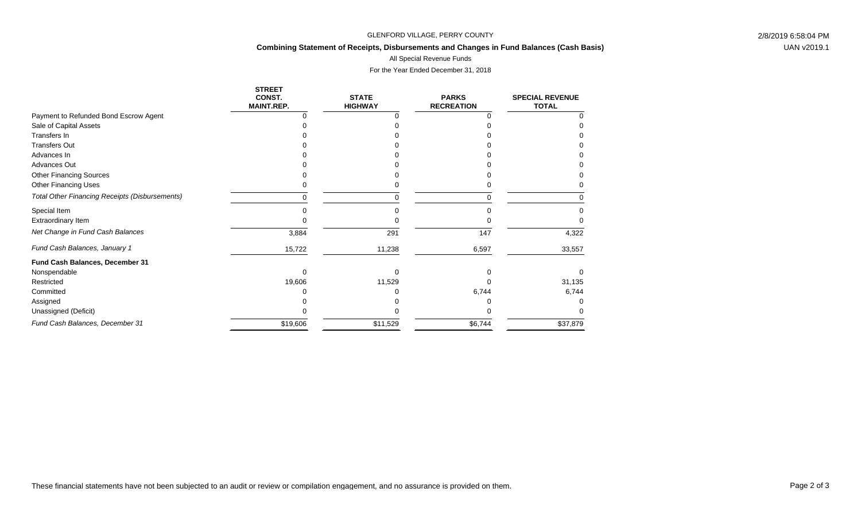### GLENFORD VILLAGE, PERRY COUNTY 2/8/2019 6:58:04 PM

# **Combining Statement of Receipts, Disbursements and Changes in Fund Balances (Cash Basis)**

All Special Revenue Funds

For the Year Ended December 31, 2018

|                                                       | <b>STREET</b><br>CONST.<br><b>MAINT.REP.</b> | <b>STATE</b><br><b>HIGHWAY</b> | <b>PARKS</b><br><b>RECREATION</b> | <b>SPECIAL REVENUE</b><br><b>TOTAL</b> |
|-------------------------------------------------------|----------------------------------------------|--------------------------------|-----------------------------------|----------------------------------------|
| Payment to Refunded Bond Escrow Agent                 |                                              |                                |                                   |                                        |
| Sale of Capital Assets                                |                                              |                                |                                   |                                        |
| Transfers In                                          |                                              |                                |                                   |                                        |
| <b>Transfers Out</b>                                  |                                              |                                |                                   |                                        |
| Advances In                                           |                                              |                                |                                   |                                        |
| Advances Out                                          |                                              |                                |                                   |                                        |
| <b>Other Financing Sources</b>                        |                                              |                                |                                   |                                        |
| Other Financing Uses                                  |                                              |                                |                                   |                                        |
| <b>Total Other Financing Receipts (Disbursements)</b> | 0                                            |                                |                                   |                                        |
| Special Item                                          | n                                            |                                |                                   |                                        |
| <b>Extraordinary Item</b>                             |                                              |                                |                                   |                                        |
| Net Change in Fund Cash Balances                      | 3,884                                        | 291                            | 147                               | 4,322                                  |
| Fund Cash Balances, January 1                         | 15,722                                       | 11,238                         | 6,597                             | 33,557                                 |
| Fund Cash Balances, December 31                       |                                              |                                |                                   |                                        |
| Nonspendable                                          |                                              |                                |                                   |                                        |
| Restricted                                            | 19,606                                       | 11,529                         |                                   | 31,135                                 |
| Committed                                             |                                              |                                | 6,744                             | 6,744                                  |
| Assigned                                              |                                              |                                |                                   |                                        |
| Unassigned (Deficit)                                  |                                              |                                |                                   |                                        |
| Fund Cash Balances, December 31                       | \$19,606                                     | \$11,529                       | \$6,744                           | \$37,879                               |